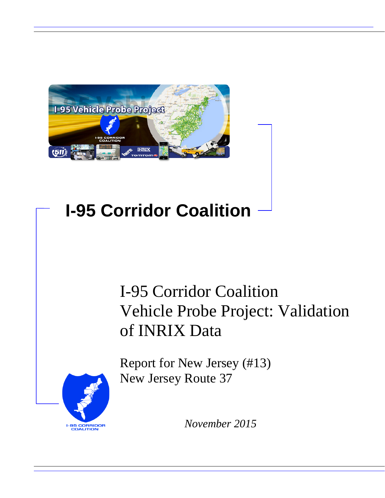

# **I-95 Corridor Coalition**

# I-95 Corridor Coalition Vehicle Probe Project: Validation of INRIX Data

Report for New Jersey (#13) New Jersey Route 37



*November 2015*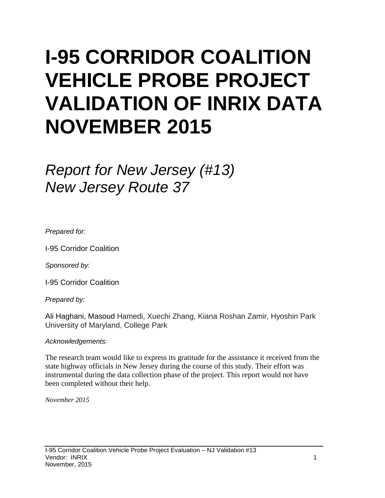# **I-95 CORRIDOR COALITION VEHICLE PROBE PROJECT VALIDATION OF INRIX DATA NOVEMBER 2015**

# *Report for New Jersey (#13) New Jersey Route 37*

*Prepared for:*

I-95 Corridor Coalition

*Sponsored by:*

I-95 Corridor Coalition

*Prepared by:*

Ali Haghani, Masoud Hamedi, Xuechi Zhang, Kiana Roshan Zamir, Hyoshin Park University of Maryland, College Park

#### *Acknowledgements:*

The research team would like to express its gratitude for the assistance it received from the state highway officials in New Jersey during the course of this study. Their effort was instrumental during the data collection phase of the project. This report would not have been completed without their help.

*November 2015*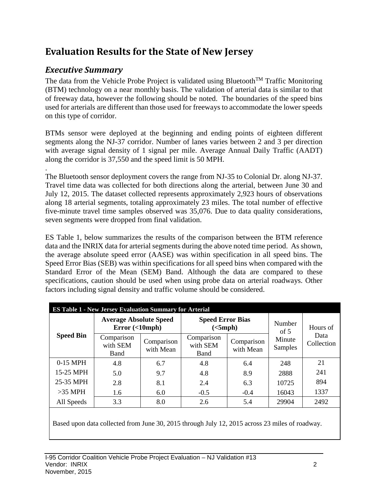## **Evaluation Results for the State of New Jersey**

## *Executive Summary*

The data from the Vehicle Probe Project is validated using Bluetooth<sup>TM</sup> Traffic Monitoring (BTM) technology on a near monthly basis. The validation of arterial data is similar to that of freeway data, however the following should be noted. The boundaries of the speed bins used for arterials are different than those used for freeways to accommodate the lower speeds on this type of corridor.

BTMs sensor were deployed at the beginning and ending points of eighteen different segments along the NJ-37 corridor. Number of lanes varies between 2 and 3 per direction with average signal density of 1 signal per mile. Average Annual Daily Traffic (AADT) along the corridor is 37,550 and the speed limit is 50 MPH.

. The Bluetooth sensor deployment covers the range from NJ-35 to Colonial Dr. along NJ-37. Travel time data was collected for both directions along the arterial, between June 30 and July 12, 2015. The dataset collected represents approximately 2,923 hours of observations along 18 arterial segments, totaling approximately 23 miles. The total number of effective five-minute travel time samples observed was 35,076. Due to data quality considerations, seven segments were dropped from final validation.

ES Table 1, below summarizes the results of the comparison between the BTM reference data and the INRIX data for arterial segments during the above noted time period. As shown, the average absolute speed error (AASE) was within specification in all speed bins. The Speed Error Bias (SEB) was within specifications for all speed bins when compared with the Standard Error of the Mean (SEM) Band. Although the data are compared to these specifications, caution should be used when using probe data on arterial roadways. Other factors including signal density and traffic volume should be considered.

| <b>ES Table 1 - New Jersey Evaluation Summary for Arterial</b> |                                                |                         |                                     |                         |                   |                                |  |  |  |  |  |
|----------------------------------------------------------------|------------------------------------------------|-------------------------|-------------------------------------|-------------------------|-------------------|--------------------------------|--|--|--|--|--|
|                                                                | <b>Average Absolute Speed</b><br>Error(<10mph) |                         | <b>Speed Error Bias</b><br>(<5 mph) |                         | Number<br>of $5$  | Hours of<br>Data<br>Collection |  |  |  |  |  |
| <b>Speed Bin</b>                                               | Comparison<br>with SEM<br><b>Band</b>          | Comparison<br>with Mean | Comparison<br>with SEM<br>Band      | Comparison<br>with Mean | Minute<br>Samples |                                |  |  |  |  |  |
| $0-15$ MPH                                                     | 4.8                                            | 6.7                     | 4.8                                 | 6.4                     | 248               | 21                             |  |  |  |  |  |
| 15-25 MPH                                                      | 5.0                                            | 9.7                     | 4.8                                 | 8.9                     | 2888              | 241                            |  |  |  |  |  |
| 25-35 MPH                                                      | 2.8                                            | 8.1                     | 2.4                                 | 6.3                     | 10725             | 894                            |  |  |  |  |  |
| $>35$ MPH                                                      | 1.6                                            | 6.0                     | $-0.5$                              | $-0.4$                  | 16043             | 1337                           |  |  |  |  |  |
| All Speeds                                                     | 3.3                                            | 8.0                     | 2.6                                 | 5.4                     | 29904             | 2492                           |  |  |  |  |  |

Based upon data collected from June 30, 2015 through July 12, 2015 across 23 miles of roadway.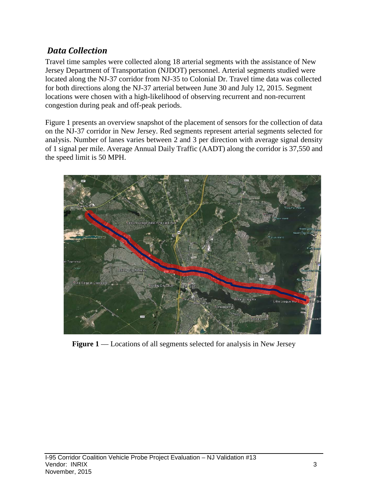### *Data Collection*

Travel time samples were collected along 18 arterial segments with the assistance of New Jersey Department of Transportation (NJDOT) personnel. Arterial segments studied were located along the NJ-37 corridor from NJ-35 to Colonial Dr. Travel time data was collected for both directions along the NJ-37 arterial between June 30 and July 12, 2015. Segment locations were chosen with a high-likelihood of observing recurrent and non-recurrent congestion during peak and off-peak periods.

Figure 1 presents an overview snapshot of the placement of sensors for the collection of data on the NJ-37 corridor in New Jersey. Red segments represent arterial segments selected for analysis. Number of lanes varies between 2 and 3 per direction with average signal density of 1 signal per mile. Average Annual Daily Traffic (AADT) along the corridor is 37,550 and the speed limit is 50 MPH.



**Figure 1** — Locations of all segments selected for analysis in New Jersey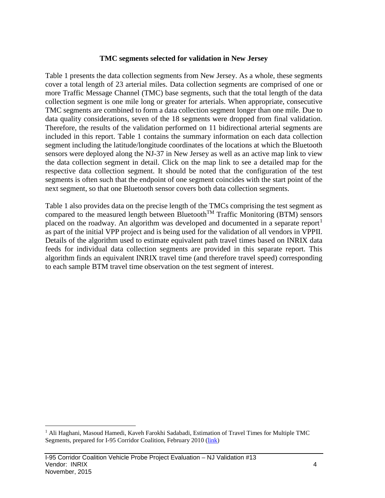#### **TMC segments selected for validation in New Jersey**

Table 1 presents the data collection segments from New Jersey. As a whole, these segments cover a total length of 23 arterial miles. Data collection segments are comprised of one or more Traffic Message Channel (TMC) base segments, such that the total length of the data collection segment is one mile long or greater for arterials. When appropriate, consecutive TMC segments are combined to form a data collection segment longer than one mile. Due to data quality considerations, seven of the 18 segments were dropped from final validation. Therefore, the results of the validation performed on 11 bidirectional arterial segments are included in this report. Table 1 contains the summary information on each data collection segment including the latitude/longitude coordinates of the locations at which the Bluetooth sensors were deployed along the NJ-37 in New Jersey as well as an active map link to view the data collection segment in detail. Click on the map link to see a detailed map for the respective data collection segment. It should be noted that the configuration of the test segments is often such that the endpoint of one segment coincides with the start point of the next segment, so that one Bluetooth sensor covers both data collection segments.

Table 1 also provides data on the precise length of the TMCs comprising the test segment as compared to the measured length between Bluetooth<sup>TM</sup> Traffic Monitoring (BTM) sensors placed on the roadway. An algorithm was developed and documented in a separate report<sup>[1](#page-4-0)</sup> as part of the initial VPP project and is being used for the validation of all vendors in VPPII. Details of the algorithm used to estimate equivalent path travel times based on INRIX data feeds for individual data collection segments are provided in this separate report. This algorithm finds an equivalent INRIX travel time (and therefore travel speed) corresponding to each sample BTM travel time observation on the test segment of interest.

<span id="page-4-0"></span><sup>&</sup>lt;sup>1</sup> Ali Haghani, Masoud Hamedi, Kaveh Farokhi Sadabadi, Estimation of Travel Times for Multiple TMC Segments, prepared for I-95 Corridor Coalition, February 2010 [\(link\)](http://www.i95coalition.org/wp-content/uploads/2015/02/I-95-CC-Estimation-of-Travel-Times-for-Multiple-TMC-Segments-FINAL2.pdf)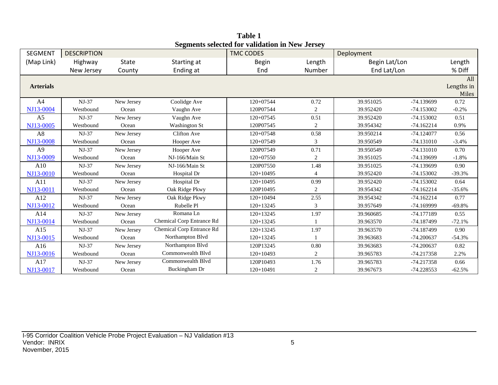| <b>SEGMENT</b>   | <b>DESCRIPTION</b> |              |                           | эсдисик эсіссіси тог танианын ш түсм әсі эсу<br><b>TMC CODES</b> |                  | Deployment    |              |            |
|------------------|--------------------|--------------|---------------------------|------------------------------------------------------------------|------------------|---------------|--------------|------------|
| (Map Link)       | Highway            | <b>State</b> | Starting at               | <b>Begin</b>                                                     | Length           | Begin Lat/Lon |              | Length     |
|                  | New Jersey         | County       | Ending at                 | End                                                              | Number           | End Lat/Lon   |              | % Diff     |
|                  |                    |              |                           |                                                                  |                  |               |              | All        |
| <b>Arterials</b> |                    |              |                           |                                                                  |                  |               |              | Lengths in |
|                  |                    |              |                           |                                                                  |                  |               |              | Miles      |
| A <sup>4</sup>   | NJ-37              | New Jersey   | Coolidge Ave              | 120+07544                                                        | 0.72             | 39.951025     | -74.139699   | 0.72       |
| NJ13-0004        | Westbound          | Ocean        | Vaughn Ave                | 120P07544                                                        | $\boldsymbol{2}$ | 39.952420     | $-74.153002$ | $-0.2%$    |
| A <sub>5</sub>   | $NJ-37$            | New Jersey   | Vaughn Ave                | 120+07545                                                        | 0.51             | 39.952420     | $-74.153002$ | 0.51       |
| NJ13-0005        | Westbound          | Ocean        | <b>Washington St</b>      | 120P07545                                                        | $\overline{c}$   | 39.954342     | $-74.162214$ | 0.9%       |
| A8               | NJ-37              | New Jersey   | <b>Clifton Ave</b>        | 120+07548                                                        | 0.58             | 39.950214     | $-74.124077$ | 0.56       |
| NJ13-0008        | Westbound          | Ocean        | Hooper Ave                | 120+07549                                                        | 3                | 39.950549     | $-74.131010$ | $-3.4%$    |
| A <sub>9</sub>   | NJ-37              | New Jersey   | Hooper Ave                | 120P07549                                                        | 0.71             | 39.950549     | $-74.131010$ | 0.70       |
| NJ13-0009        | Westbound          | Ocean        | NJ-166/Main St            | 120+07550                                                        | 2                | 39.951025     | -74.139699   | $-1.8%$    |
| A10              | $NJ-37$            | New Jersey   | NJ-166/Main St            | 120P07550                                                        | 1.48             | 39.951025     | -74.139699   | 0.90       |
| NJ13-0010        | Westbound          | Ocean        | Hospital Dr               | $120+10495$                                                      | $\overline{4}$   | 39.952420     | $-74.153002$ | $-39.3%$   |
| A11              | $NJ-37$            | New Jersey   | Hospital Dr               | $120+10495$                                                      | 0.99             | 39.952420     | $-74.153002$ | 0.64       |
| NJ13-0011        | Westbound          | Ocean        | Oak Ridge Pkwy            | 120P10495                                                        | $\sqrt{2}$       | 39.954342     | $-74.162214$ | $-35.6%$   |
| A12              | $NJ-37$            | New Jersey   | Oak Ridge Pkwy            | $120+10494$                                                      | 2.55             | 39.954342     | $-74.162214$ | 0.77       |
| NJ13-0012        | Westbound          | Ocean        | Rubelle Pl                | $120+13245$                                                      | 3                | 39.957649     | -74.169999   | $-69.8%$   |
| A14              | $NJ-37$            | New Jersey   | Romana Ln                 | 120+13245                                                        | 1.97             | 39.960685     | $-74.177189$ | 0.55       |
| NJ13-0014        | Westbound          | Ocean        | Chemical Corp Entrance Rd | $120+13245$                                                      |                  | 39.963570     | -74.187499   | $-72.1%$   |
| A15              | $NJ-37$            | New Jersey   | Chemical Corp Entrance Rd | $120+13245$                                                      | 1.97             | 39.963570     | -74.187499   | 0.90       |
| NJ13-0015        | Westbound          | Ocean        | Northampton Blvd          | $120+13245$                                                      |                  | 39.963683     | $-74.200637$ | $-54.3%$   |
| A16              | $NJ-37$            | New Jersey   | Northampton Blvd          | 120P13245                                                        | 0.80             | 39.963683     | $-74.200637$ | 0.82       |
| NJ13-0016        | Westbound          | Ocean        | Commonwealth Blvd         | $120+10493$                                                      | 2                | 39.965783     | $-74.217358$ | 2.2%       |
| A17              | $NJ-37$            | New Jersey   | Commonwealth Blyd         | 120P10493                                                        | 1.76             | 39.965783     | -74.217358   | 0.66       |
| NJ13-0017        | Westbound          | Ocean        | Buckingham Dr             | $120+10491$                                                      | $\overline{c}$   | 39.967673     | $-74.228553$ | $-62.5%$   |

**Table 1 Segments selected for validation in New Jersey**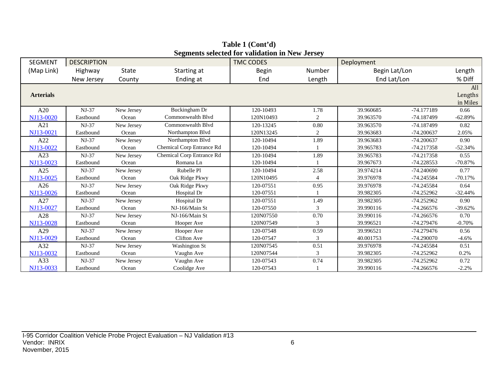| <b>SEGMENT</b>   | <b>DESCRIPTION</b> |            |                           | $\alpha$ , and $\alpha$ and $\alpha$ and $\alpha$ and $\alpha$ and $\alpha$ and $\alpha$<br><b>TMC CODES</b> |                | Deployment    |              |           |
|------------------|--------------------|------------|---------------------------|--------------------------------------------------------------------------------------------------------------|----------------|---------------|--------------|-----------|
| (Map Link)       | Highway            | State      | Starting at               | <b>Begin</b>                                                                                                 | Number         | Begin Lat/Lon |              | Length    |
|                  | New Jersey         | County     | Ending at                 | End                                                                                                          | Length         | End Lat/Lon   |              | % Diff    |
|                  |                    |            |                           |                                                                                                              |                |               |              | All       |
| <b>Arterials</b> |                    |            |                           |                                                                                                              |                |               |              | Lengths   |
|                  |                    |            |                           |                                                                                                              |                |               |              | in Miles  |
| A20              | $NJ-37$            | New Jersey | Buckingham Dr             | 120-10493                                                                                                    | 1.78           | 39.960685     | -74.177189   | 0.66      |
| NJ13-0020        | Eastbound          | Ocean      | Commonwealth Blvd         | 120N10493                                                                                                    | 2              | 39.963570     | -74.187499   | $-62.89%$ |
| A21              | $NJ-37$            | New Jersey | Commonwealth Blyd         | 120-13245                                                                                                    | 0.80           | 39.963570     | -74.187499   | 0.82      |
| NJ13-0021        | Eastbound          | Ocean      | Northampton Blvd          | 120N13245                                                                                                    | $\overline{c}$ | 39.963683     | $-74.200637$ | 2.05%     |
| A22              | $NJ-37$            | New Jersey | Northampton Blvd          | 120-10494                                                                                                    | 1.89           | 39.963683     | $-74.200637$ | 0.90      |
| NJ13-0022        | Eastbound          | Ocean      | Chemical Corp Entrance Rd | 120-10494                                                                                                    |                | 39.965783     | $-74.217358$ | $-52.34%$ |
| A23              | $NJ-37$            | New Jersey | Chemical Corp Entrance Rd | 120-10494                                                                                                    | 1.89           | 39.965783     | $-74.217358$ | 0.55      |
| NJ13-0023        | Eastbound          | Ocean      | Romana Ln                 | 120-10494                                                                                                    |                | 39.967673     | -74.228553   | $-70.87%$ |
| A25              | $NJ-37$            | New Jersey | Rubelle Pl                | 120-10494                                                                                                    | 2.58           | 39.974214     | $-74.240690$ | 0.77      |
| NJ13-0025        | Eastbound          | Ocean      | Oak Ridge Pkwy            | 120N10495                                                                                                    | 4              | 39.976978     | -74.245584   | $-70.17%$ |
| A26              | $NJ-37$            | New Jersey | Oak Ridge Pkwy            | 120-07551                                                                                                    | 0.95           | 39.976978     | -74.245584   | 0.64      |
| NJ13-0026        | Eastbound          | Ocean      | Hospital Dr               | 120-07551                                                                                                    |                | 39.982305     | $-74.252962$ | $-32.44%$ |
| A27              | $NJ-37$            | New Jersey | Hospital Dr               | 120-07551                                                                                                    | 1.49           | 39.982305     | $-74.252962$ | 0.90      |
| NJ13-0027        | Eastbound          | Ocean      | NJ-166/Main St            | 120-07550                                                                                                    | 3              | 39.990116     | $-74.266576$ | $-39.62%$ |
| A28              | $NJ-37$            | New Jersey | NJ-166/Main St            | 120N07550                                                                                                    | 0.70           | 39.990116     | $-74.266576$ | 0.70      |
| NJ13-0028        | Eastbound          | Ocean      | Hooper Ave                | 120N07549                                                                                                    | 3              | 39.996521     | $-74.279476$ | $-0.70%$  |
| A29              | $NJ-37$            | New Jersey | Hooper Ave                | 120-07548                                                                                                    | 0.59           | 39.996521     | $-74.279476$ | 0.56      |
| NJ13-0029        | Eastbound          | Ocean      | Clifton Ave               | 120-07547                                                                                                    | 3              | 40.001753     | $-74.290070$ | $-4.6%$   |
| A32              | $NJ-37$            | New Jersey | <b>Washington St</b>      | 120N07545                                                                                                    | 0.51           | 39.976978     | -74.245584   | 0.51      |
| NJ13-0032        | Eastbound          | Ocean      | Vaughn Ave                | 120N07544                                                                                                    | 3              | 39.982305     | $-74.252962$ | 0.2%      |
| A33              | $NJ-37$            | New Jersey | Vaughn Ave                | 120-07543                                                                                                    | 0.74           | 39.982305     | -74.252962   | 0.72      |
| NJ13-0033        | Eastbound          | Ocean      | Coolidge Ave              | 120-07543                                                                                                    |                | 39.990116     | $-74.266576$ | $-2.2%$   |

**Table 1 (Cont'd) Segments selected for validation in New Jersey**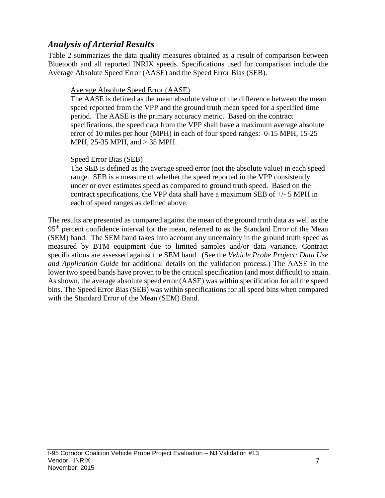### *Analysis of Arterial Results*

Table 2 summarizes the data quality measures obtained as a result of comparison between Bluetooth and all reported INRIX speeds. Specifications used for comparison include the Average Absolute Speed Error (AASE) and the Speed Error Bias (SEB).

#### Average Absolute Speed Error (AASE)

The AASE is defined as the mean absolute value of the difference between the mean speed reported from the VPP and the ground truth mean speed for a specified time period. The AASE is the primary accuracy metric. Based on the contract specifications, the speed data from the VPP shall have a maximum average absolute error of 10 miles per hour (MPH) in each of four speed ranges: 0-15 MPH, 15-25 MPH, 25-35 MPH, and > 35 MPH.

#### Speed Error Bias (SEB)

The SEB is defined as the average speed error (not the absolute value) in each speed range. SEB is a measure of whether the speed reported in the VPP consistently under or over estimates speed as compared to ground truth speed. Based on the contract specifications, the VPP data shall have a maximum SEB of +/- 5 MPH in each of speed ranges as defined above.

The results are presented as compared against the mean of the ground truth data as well as the 95<sup>th</sup> percent confidence interval for the mean, referred to as the Standard Error of the Mean (SEM) band. The SEM band takes into account any uncertainty in the ground truth speed as measured by BTM equipment due to limited samples and/or data variance. Contract specifications are assessed against the SEM band. (See the *Vehicle Probe Project: Data Use and Application Guide* for additional details on the validation process.) The AASE in the lower two speed bands have proven to be the critical specification (and most difficult) to attain. As shown, the average absolute speed error (AASE) was within specification for all the speed bins. The Speed Error Bias (SEB) was within specifications for all speed bins when compared with the Standard Error of the Mean (SEM) Band.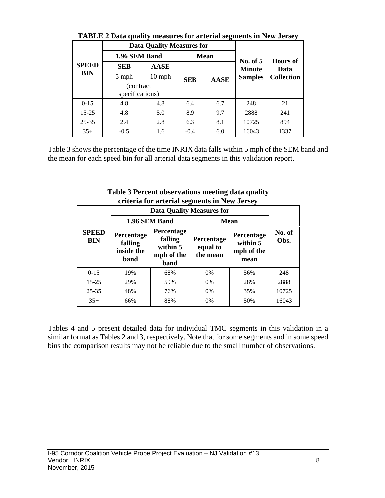|              | Triblic 2 Data quality intastives for alternal segments in from Seristy |                                  |            |             |                             |                                              |  |  |  |  |  |  |  |
|--------------|-------------------------------------------------------------------------|----------------------------------|------------|-------------|-----------------------------|----------------------------------------------|--|--|--|--|--|--|--|
|              |                                                                         | <b>Data Quality Measures for</b> |            |             |                             | <b>Hours of</b><br>Data<br><b>Collection</b> |  |  |  |  |  |  |  |
|              | 1.96 SEM Band                                                           |                                  |            | <b>Mean</b> |                             |                                              |  |  |  |  |  |  |  |
| <b>SPEED</b> | <b>SEB</b>                                                              | <b>AASE</b>                      |            |             | No. of $5$<br><b>Minute</b> |                                              |  |  |  |  |  |  |  |
| BIN          | 5 mph                                                                   | $10$ mph                         | <b>SEB</b> | <b>AASE</b> | <b>Samples</b>              |                                              |  |  |  |  |  |  |  |
|              | (contract)                                                              |                                  |            |             |                             |                                              |  |  |  |  |  |  |  |
|              | specifications)                                                         |                                  |            |             |                             |                                              |  |  |  |  |  |  |  |
| $0 - 15$     | 4.8                                                                     | 4.8                              | 6.4        | 6.7         | 248                         | 21                                           |  |  |  |  |  |  |  |
| $15 - 25$    | 4.8                                                                     | 5.0                              | 8.9        | 9.7         | 2888                        | 241                                          |  |  |  |  |  |  |  |
| $25 - 35$    | 2.4                                                                     | 2.8                              | 6.3        | 8.1         | 10725                       | 894                                          |  |  |  |  |  |  |  |
| $35+$        | $-0.5$                                                                  | 1.6                              | $-0.4$     | 6.0         | 16043                       | 1337                                         |  |  |  |  |  |  |  |

**TABLE 2 Data quality measures for arterial segments in New Jersey**

Table 3 shows the percentage of the time INRIX data falls within 5 mph of the SEM band and the mean for each speed bin for all arterial data segments in this validation report.

| Criteria for arterial segments in frew Jersey |                            |                                             |                                                         |                                    |                                              |                |  |  |  |  |  |
|-----------------------------------------------|----------------------------|---------------------------------------------|---------------------------------------------------------|------------------------------------|----------------------------------------------|----------------|--|--|--|--|--|
|                                               |                            |                                             |                                                         | <b>Data Quality Measures for</b>   |                                              |                |  |  |  |  |  |
|                                               |                            |                                             | 1.96 SEM Band                                           |                                    | <b>Mean</b>                                  |                |  |  |  |  |  |
|                                               | <b>SPEED</b><br><b>BIN</b> | Percentage<br>falling<br>inside the<br>band | Percentage<br>falling<br>within 5<br>mph of the<br>band | Percentage<br>equal to<br>the mean | Percentage<br>within 5<br>mph of the<br>mean | No. of<br>Obs. |  |  |  |  |  |
|                                               | $0 - 15$                   | 19%                                         | 68%                                                     | 0%                                 | 56%                                          | 248            |  |  |  |  |  |
|                                               | $15 - 25$                  | 29%                                         | 59%                                                     | 0%                                 | 28%                                          | 2888           |  |  |  |  |  |
|                                               | $25 - 35$                  | 48%                                         | 76%                                                     | $0\%$                              | 35%                                          | 10725          |  |  |  |  |  |
|                                               | $35+$                      | 66%                                         | 88%                                                     | 0%                                 | 50%                                          | 16043          |  |  |  |  |  |

**Table 3 Percent observations meeting data quality criteria for arterial segments in New Jersey**

Tables 4 and 5 present detailed data for individual TMC segments in this validation in a similar format as Tables 2 and 3, respectively. Note that for some segments and in some speed bins the comparison results may not be reliable due to the small number of observations.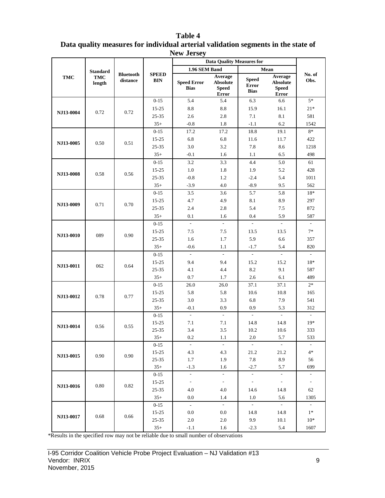|                  |                      |                              |                            | $110W$ JUISC $_3$                 | <b>Data Quality Measures for</b>                    |                                             |                                                            |                          |
|------------------|----------------------|------------------------------|----------------------------|-----------------------------------|-----------------------------------------------------|---------------------------------------------|------------------------------------------------------------|--------------------------|
|                  | <b>Standard</b>      |                              |                            | 1.96 SEM Band                     |                                                     |                                             | Mean                                                       |                          |
| TMC              | <b>TMC</b><br>length | <b>Bluetooth</b><br>distance | <b>SPEED</b><br><b>BIN</b> | <b>Speed Error</b><br><b>Bias</b> | Average<br><b>Absolute</b><br><b>Speed</b><br>Error | <b>Speed</b><br><b>Error</b><br><b>Bias</b> | Average<br><b>Absolute</b><br><b>Speed</b><br><b>Error</b> | No. of<br>Obs.           |
|                  |                      |                              | $0 - 15$                   | 5.4                               | 5.4                                                 | 6.3                                         | 6.6                                                        | $5*$                     |
|                  |                      |                              | 15-25                      | $\!\!\!\!\!8.8$                   | 8.8                                                 | 15.9                                        | 16.1                                                       | $21*$                    |
| NJ13-0004        | 0.72                 | 0.72                         | $25 - 35$                  | 2.6                               | 2.8                                                 | 7.1                                         | 8.1                                                        | 581                      |
|                  |                      |                              | $35+$                      | $-0.8$                            | 1.8                                                 | $-1.1$                                      | $6.2\,$                                                    | 1542                     |
|                  |                      |                              | $0 - 15$                   | 17.2                              | 17.2                                                | 18.8                                        | 19.1                                                       | $8*$                     |
| NJ13-0005        | 0.50                 | 0.51                         | $15 - 25$                  | 6.8                               | 6.8                                                 | 11.6                                        | 11.7                                                       | 422                      |
|                  |                      |                              | 25-35                      | 3.0                               | 3.2                                                 | 7.8                                         | 8.6                                                        | 1218                     |
|                  |                      |                              | $35+$                      | $-0.1$                            | 1.6                                                 | 1.1                                         | 6.5                                                        | 498                      |
|                  |                      |                              | $0 - 15$                   | 3.2                               | 3.3                                                 | 4.4                                         | $5.0\,$                                                    | 61                       |
| NJ13-0008        | 0.58                 | 0.56                         | $15 - 25$                  | $1.0\,$                           | 1.8                                                 | 1.9                                         | 5.2                                                        | 428                      |
|                  |                      |                              | $25 - 35$                  | $-0.8$                            | 1.2                                                 | $-2.4$                                      | 5.4                                                        | 1011                     |
|                  |                      |                              | $35+$                      | $-3.9$                            | 4.0                                                 | $-8.9$                                      | 9.5                                                        | 562                      |
|                  |                      |                              | $0 - 15$                   | 3.5                               | 3.6                                                 | 5.7                                         | 5.8                                                        | 18*                      |
| NJ13-0009        | 0.71                 | 0.70                         | 15-25                      | 4.7                               | 4.9                                                 | 8.1                                         | 8.9                                                        | 297                      |
|                  |                      |                              | 25-35                      | 2.4                               | 2.8                                                 | 5.4                                         | 7.5                                                        | 872                      |
|                  |                      |                              | $35+$                      | 0.1                               | 1.6                                                 | 0.4                                         | 5.9                                                        | 587                      |
|                  |                      |                              | $0 - 15$                   | $\overline{a}$                    | $\mathcal{L}$                                       | $\omega$                                    | $\mathbb{Z}^{\mathbb{Z}}$                                  | $\sim$                   |
| NJ13-0010        | 089                  | 0.90                         | $15 - 25$                  | 7.5                               | 7.5                                                 | 13.5                                        | 13.5                                                       | $7*$                     |
|                  |                      |                              | 25-35                      | 1.6                               | 1.7                                                 | 5.9                                         | 6.6                                                        | 357                      |
|                  |                      |                              | $35+$                      | $-0.6$                            | 1.1                                                 | $-1.7$                                      | 5.4                                                        | 820                      |
|                  |                      |                              | $0 - 15$                   | $\mathbf{r}$                      | $\mathcal{L}$                                       | $\sim$                                      |                                                            | $\sim$                   |
| NJ13-0011        | 062                  | 0.64                         | $15 - 25$                  | 9.4                               | 9.4                                                 | 15.2                                        | 15.2                                                       | $18*$                    |
|                  |                      |                              | 25-35                      | 4.1                               | 4.4                                                 | 8.2                                         | 9.1                                                        | 587                      |
|                  |                      |                              | $35+$                      | 0.7                               | 1.7                                                 | 2.6                                         | 6.1                                                        | 489                      |
|                  |                      |                              | $0 - 15$                   | 26.0                              | 26.0                                                | 37.1                                        | 37.1                                                       | $2*$                     |
| NJ13-0012        | 0.78                 | 0.77                         | $15 - 25$                  | 5.8                               | 5.8                                                 | 10.6                                        | 10.8                                                       | 165                      |
|                  |                      |                              | 25-35                      | 3.0                               | 3.3                                                 | 6.8                                         | 7.9                                                        | 541                      |
|                  |                      |                              | $35+$                      | $-0.1$                            | 0.9                                                 | 0.9                                         | 5.3                                                        | 312                      |
|                  |                      |                              | $0 - 15$                   | $\mathcal{L}$                     | $\sim$                                              | $\omega$                                    | $\sim$                                                     | $\sim$                   |
| NJ13-0014        | 0.56                 | 0.55                         | $15 - 25$                  | 7.1                               | 7.1                                                 | 14.8                                        | 14.8                                                       | $19*$                    |
|                  |                      |                              | 25-35<br>$35+$             | 3.4<br>0.2                        | 3.5<br>$1.1\,$                                      | 10.2<br>$2.0\,$                             | 10.6<br>5.7                                                | 333<br>533               |
|                  |                      |                              | $0 - 15$                   |                                   | $\sim$                                              |                                             |                                                            |                          |
|                  |                      |                              | 15-25                      | 4.3                               | 4.3                                                 | 21.2                                        | 21.2                                                       | $4*$                     |
| NJ13-0015        | 0.90                 | 0.90                         | $25 - 35$                  | 1.7                               | 1.9                                                 | 7.8                                         | 8.9                                                        | 56                       |
|                  |                      |                              | $35+$                      | $-1.3$                            | 1.6                                                 | $-2.7$                                      | 5.7                                                        | 699                      |
|                  |                      |                              | $0 - 15$                   | $\overline{\phantom{a}}$          | $\blacksquare$                                      | $\mathcal{L}_{\mathcal{A}}$                 | $\sim$                                                     | $\overline{\phantom{a}}$ |
|                  |                      |                              | 15-25                      | $\overline{\phantom{a}}$          | $\sim$                                              | $\sim$                                      | $\sim$                                                     | $\overline{\phantom{a}}$ |
| NJ13-0016        | 0.80                 | 0.82                         | 25-35                      | 4.0                               | 4.0                                                 | 14.6                                        | 14.8                                                       | 62                       |
|                  |                      |                              | $35+$                      | 0.0                               | 1.4                                                 | 1.0                                         | 5.6                                                        | 1305                     |
|                  |                      |                              | $0 - 15$                   | $\sim$                            | $\sim$                                              | $\sim$                                      | $\sim$                                                     | $\sim$                   |
|                  |                      |                              | 15-25                      | 0.0                               | 0.0                                                 | 14.8                                        | 14.8                                                       | $1*$                     |
| <b>NJ13-0017</b> | 0.68                 | 0.66                         | 25-35                      | 2.0                               | 2.0                                                 | 9.9                                         | 10.1                                                       | $10*$                    |
|                  |                      |                              | $35+$                      | $-1.1$                            | 1.6                                                 | $-2.3$                                      | 5.4                                                        | 1607                     |

#### **Table 4 Data quality measures for individual arterial validation segments in the state of New Jersey**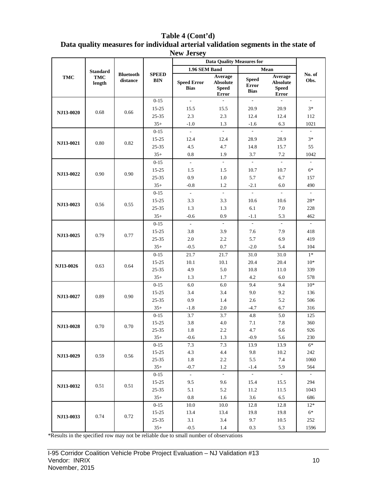| Table 4 (Cont'd)<br>Data quality measures for individual arterial validation segments in the state of<br><b>New Jersey</b> |     |                 |                              |                            |                           |         |       |         |                              |  |
|----------------------------------------------------------------------------------------------------------------------------|-----|-----------------|------------------------------|----------------------------|---------------------------|---------|-------|---------|------------------------------|--|
|                                                                                                                            |     |                 |                              |                            | Data Quality Measures for |         |       |         |                              |  |
|                                                                                                                            |     | <b>Standard</b> |                              |                            | 1.96 SEM Band             |         | Mean  |         |                              |  |
|                                                                                                                            | TMC | TMC             | <b>Bluetooth</b><br>distance | <b>SPEED</b><br><b>DIN</b> |                           | Average | Sneed | Average | No. of<br>$\Omega_{\rm{ho}}$ |  |

|            | <b>Standard</b> |                              |                            | 1.96 SEM Band                     |                                                     |                                             | Mean                                                       |                          |
|------------|-----------------|------------------------------|----------------------------|-----------------------------------|-----------------------------------------------------|---------------------------------------------|------------------------------------------------------------|--------------------------|
| <b>TMC</b> | TMC<br>length   | <b>Bluetooth</b><br>distance | <b>SPEED</b><br><b>BIN</b> | <b>Speed Error</b><br><b>Bias</b> | Average<br><b>Absolute</b><br><b>Speed</b><br>Error | <b>Speed</b><br><b>Error</b><br><b>Bias</b> | Average<br><b>Absolute</b><br><b>Speed</b><br><b>Error</b> | No. of<br>Obs.           |
|            |                 |                              | $0 - 15$                   | $\overline{a}$                    | $\frac{1}{2}$                                       | ÷,                                          |                                                            | $\overline{\phantom{a}}$ |
|            |                 |                              | $15 - 25$                  | 15.5                              | 15.5                                                | 20.9                                        | 20.9                                                       | $3*$                     |
| NJ13-0020  | 0.68            | 0.66                         | $25 - 35$                  | 2.3                               | 2.3                                                 | 12.4                                        | 12.4                                                       | 112                      |
|            |                 |                              | $35+$                      | $-1.0$                            | 1.3                                                 | $-1.6$                                      | 6.3                                                        | 1021                     |
|            |                 |                              | $0 - 15$                   | $\overline{\phantom{a}}$          |                                                     |                                             |                                                            |                          |
|            |                 |                              | $15 - 25$                  | 12.4                              | 12.4                                                | 28.9                                        | 28.9                                                       | $3*$                     |
| NJ13-0021  | 0.80            | 0.82                         | 25-35                      | 4.5                               | 4.7                                                 | 14.8                                        | 15.7                                                       | 55                       |
|            |                 |                              | $35+$                      | 0.8                               | 1.9                                                 | 3.7                                         | 7.2                                                        | 1042                     |
|            |                 |                              | $0 - 15$                   | $\mathcal{L}^{\pm}$               | $\sim$                                              | $\sim$                                      | $\sim$                                                     | $\overline{\phantom{a}}$ |
|            |                 |                              | $15 - 25$                  | 1.5                               | 1.5                                                 | 10.7                                        | 10.7                                                       | $6*$                     |
| NJ13-0022  | 0.90            | 0.90                         | 25-35                      | 0.9                               | 1.0                                                 | 5.7                                         | 6.7                                                        | 157                      |
|            |                 |                              | $35+$                      | $-0.8$                            | 1.2                                                 | $-2.1$                                      | 6.0                                                        | 490                      |
|            |                 |                              | $0 - 15$                   | $\omega$                          | $\blacksquare$                                      | $\overline{\phantom{a}}$                    | $\mathcal{L}$                                              | $\overline{\phantom{a}}$ |
|            |                 |                              | $15 - 25$                  | 3.3                               | 3.3                                                 | 10.6                                        | 10.6                                                       | $28*$                    |
| NJ13-0023  | 0.56            | 0.55                         | 25-35                      | 1.3                               | 1.3                                                 | 6.1                                         | 7.0                                                        | 228                      |
|            |                 |                              | $35+$                      | $-0.6$                            | 0.9                                                 | $-1.1$                                      | 5.3                                                        | 462                      |
| NJ13-0025  |                 |                              | $0 - 15$                   | $\omega$                          | $\mathbf{r}$                                        | $\sim$                                      | $\sim$                                                     | $\mathcal{L}$            |
|            |                 |                              | 15-25                      | 3.8                               | 3.9                                                 | 7.6                                         | 7.9                                                        | 418                      |
|            | 0.79            | 0.77                         | 25-35                      | 2.0                               | 2.2                                                 | 5.7                                         | 6.9                                                        | 419                      |
|            |                 |                              | $35+$                      | $-0.5$                            | 0.7                                                 | $-2.0$                                      | 5.4                                                        | 104                      |
|            |                 |                              | $0 - 15$                   | 21.7                              | 21.7                                                | 31.0                                        | 31.0                                                       | $1*$                     |
|            | 0.63            |                              | $15 - 25$                  | 10.1                              | 10.1                                                | 20.4                                        | 20.4                                                       | $10*$                    |
| NJ13-0026  |                 | 0.64                         | 25-35                      | 4.9                               | 5.0                                                 | 10.8                                        | 11.0                                                       | 339                      |
|            |                 |                              | $35+$                      | 1.3                               | 1.7                                                 | 4.2                                         | 6.0                                                        | 578                      |
|            |                 |                              | $0 - 15$                   | 6.0                               | 6.0                                                 | 9.4                                         | 9.4                                                        | $10*$                    |
| NJ13-0027  | 0.89            | 0.90                         | $15 - 25$                  | 3.4                               | 3.4                                                 | 9.0                                         | 9.2                                                        | 136                      |
|            |                 |                              | 25-35                      | 0.9                               | 1.4                                                 | 2.6                                         | 5.2                                                        | 506                      |
|            |                 |                              | $35+$                      | $-1.8$                            | 2.0                                                 | $-4.7$                                      | 6.7                                                        | 316                      |
|            |                 |                              | $0 - 15$                   | 3.7                               | 3.7                                                 | 4.8                                         | 5.0                                                        | 125                      |
| NJ13-0028  | 0.70            | 0.70                         | $15 - 25$                  | 3.8                               | 4.0                                                 | 7.1                                         | 7.8                                                        | 360                      |
|            |                 |                              | 25-35                      | 1.8                               | 2.2                                                 | 4.7                                         | 6.6                                                        | 926                      |
|            |                 |                              | $35+$                      | $-0.6$                            | 1.3                                                 | $-0.9$                                      | 5.6                                                        | 230                      |
|            |                 |                              | $0 - 15$                   | 7.3                               | $7.3$                                               | 13.9                                        | 13.9                                                       | $6*$                     |
| NJ13-0029  | 0.59            | 0.56                         | $15 - 25$                  | 4.3                               | 4.4                                                 | 9.8                                         | 10.2                                                       | 242                      |
|            |                 |                              | $25 - 35$                  | 1.8                               | 2.2                                                 | 5.5                                         | 7.4                                                        | 1060                     |
|            |                 |                              | $35+$                      | $-0.7$                            | 1.2                                                 | $-1.4$                                      | 5.9                                                        | 564                      |
|            |                 |                              | $0 - 15$                   | $\mathbb{Z}^2$                    | $\sim$                                              | $\sim$                                      | $\sim$                                                     | $\sim$                   |
| NJ13-0032  | 0.51            | 0.51                         | 15-25                      | 9.5                               | 9.6                                                 | 15.4                                        | 15.5                                                       | 294                      |
|            |                 |                              | $25 - 35$                  | 5.1                               | 5.2                                                 | 11.2                                        | 11.5                                                       | 1043                     |
|            |                 |                              | $35+$                      | 0.8                               | 1.6                                                 | 3.6                                         | 6.5                                                        | 686                      |
|            |                 |                              | $0 - 15$                   | 10.0                              | 10.0                                                | 12.8                                        | 12.8                                                       | $12*$                    |
| NJ13-0033  | 0.74            | 0.72                         | $15 - 25$                  | 13.4                              | 13.4                                                | 19.8                                        | 19.8                                                       | $6*$                     |
|            |                 |                              | $25 - 35$                  | 3.1                               | 3.4                                                 | 9.7                                         | 10.5                                                       | 252                      |
|            |                 |                              | $35+$                      | $-0.5$                            | 1.4                                                 | 0.3                                         | 5.3                                                        | 1596                     |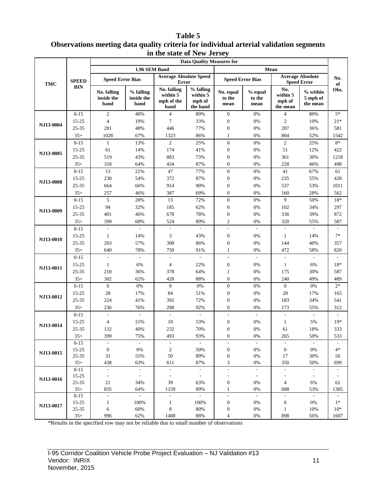#### **Table 5 Observations meeting data quality criteria for individual arterial validation segments in the state of New Jersey**

| <b>Data Ouality Measures for</b> |                        |                                   |                                 |                                               |                                             |                                      |                             |                                       |                                               |                          |
|----------------------------------|------------------------|-----------------------------------|---------------------------------|-----------------------------------------------|---------------------------------------------|--------------------------------------|-----------------------------|---------------------------------------|-----------------------------------------------|--------------------------|
|                                  |                        |                                   | 1.96 SEM Band                   |                                               |                                             |                                      | Mean                        |                                       |                                               |                          |
| TMC                              | <b>SPEED</b>           | <b>Speed Error Bias</b>           |                                 | <b>Average Absolute Speed</b><br>Error        |                                             | <b>Speed Error Bias</b>              |                             |                                       | <b>Average Absolute</b><br><b>Speed Error</b> | No.<br>of                |
|                                  | <b>BIN</b>             | No. falling<br>inside the<br>band | % falling<br>inside the<br>band | No. falling<br>within 5<br>mph of the<br>band | % falling<br>within 5<br>mph of<br>the band | No. equal<br>to the<br>mean          | % equal<br>to the<br>mean   | No.<br>within 5<br>mph of<br>the mean | $%$ within<br>5 mph of<br>the mean            | Obs.                     |
|                                  | $0 - 15$               | $\mathfrak{2}$                    | 40%                             | $\overline{4}$                                | 80%                                         | $\boldsymbol{0}$                     | 0%                          | $\overline{4}$                        | 80%                                           | $5*$                     |
| NJ13-0004                        | 15-25                  | $\overline{4}$                    | 19%                             | 7                                             | 33%                                         | $\boldsymbol{0}$                     | 0%                          | $\overline{c}$                        | 10%                                           | $21*$                    |
|                                  | 25-35                  | 281                               | 48%                             | 446                                           | 77%                                         | $\boldsymbol{0}$                     | 0%                          | 207                                   | 36%                                           | 581                      |
|                                  | $35+$                  | 1028                              | 67%                             | 1323                                          | 86%                                         | $\mathbf{1}$                         | 0%                          | 804                                   | 52%                                           | 1542                     |
|                                  | $0 - 15$               | $\mathbf{1}$                      | 13%                             | $\mathfrak{2}$                                | 25%                                         | $\mathbf{0}$                         | 0%                          | $\mathbf{2}$                          | 25%                                           | $8*$                     |
| NJ13-0005                        | 15-25                  | 61                                | 14%                             | 174                                           | 41%                                         | $\boldsymbol{0}$                     | 0%                          | 51                                    | 12%                                           | 422                      |
|                                  | 25-35                  | 519                               | 43%                             | 883                                           | 73%                                         | $\boldsymbol{0}$                     | 0%                          | 361                                   | 30%                                           | 1218                     |
|                                  | $35+$                  | 318                               | 64%                             | 434                                           | 87%                                         | $\boldsymbol{0}$                     | 0%                          | 228                                   | 46%                                           | 498                      |
|                                  | $0 - 15$               | 13                                | 21%                             | 47                                            | 77%                                         | $\boldsymbol{0}$                     | 0%                          | 41                                    | 67%                                           | 61                       |
| NJ13-0008                        | 15-25                  | 230                               | 54%                             | 372                                           | 87%                                         | $\boldsymbol{0}$                     | 0%                          | 235                                   | 55%                                           | 428                      |
|                                  | 25-35                  | 664                               | 66%                             | 914                                           | 90%                                         | $\boldsymbol{0}$                     | 0%                          | 537                                   | 53%                                           | 1011                     |
|                                  | $35+$                  | 257                               | 46%                             | 387                                           | 69%                                         | $\boldsymbol{0}$                     | 0%                          | 160                                   | 28%                                           | 562                      |
|                                  | $0 - 15$               | 5                                 | 28%                             | 13                                            | 72%                                         | $\boldsymbol{0}$                     | 0%                          | 9                                     | 50%                                           | 18*                      |
| NJ13-0009                        | 15-25                  | 94                                | 32%                             | 185                                           | 62%                                         | $\boldsymbol{0}$                     | 0%                          | 102                                   | 34%                                           | 297                      |
|                                  | 25-35                  | 401                               | 46%                             | 678                                           | 78%                                         | $\boldsymbol{0}$                     | 0%                          | 336                                   | 39%                                           | 872                      |
|                                  | $35+$                  | 399                               | 68%                             | 524                                           | 89%                                         | $\mathfrak{2}$                       | 0%                          | 320                                   | 55%                                           | 587                      |
|                                  | $0 - 15$               |                                   |                                 |                                               |                                             | $\overline{\phantom{a}}$             | ÷,                          |                                       |                                               |                          |
| NJ13-0010                        | 15-25                  | $\mathbf{1}$                      | 14%                             | 3                                             | 43%                                         | $\boldsymbol{0}$                     | 0%                          | $\mathbf{1}$                          | 14%                                           | $7*$                     |
|                                  | 25-35                  | 203                               | 57%                             | 308                                           | 86%                                         | $\boldsymbol{0}$                     | 0%                          | 144                                   | 40%                                           | 357                      |
|                                  | $35+$                  | 640                               | 78%                             | 750                                           | 91%                                         | 1                                    | 0%                          | 472                                   | 58%                                           | 820                      |
|                                  | $0 - 15$               | $\blacksquare$                    | $\overline{\phantom{a}}$        | $\overline{\phantom{a}}$                      | $\overline{\phantom{a}}$                    | $\frac{1}{2}$                        | $\overline{\phantom{a}}$    | $\overline{\phantom{a}}$              | $\mathcal{L}_{\mathcal{A}}$                   | $\overline{\phantom{a}}$ |
| NJ13-0011                        | 15-25                  | $\mathbf{1}$                      | 6%                              | 4                                             | 22%                                         | $\boldsymbol{0}$                     | 0%                          | $\mathbf{1}$                          | 6%                                            | 18*                      |
|                                  | 25-35                  | 210                               | 36%                             | 378                                           | 64%                                         | $\mathbf{1}$                         | 0%                          | 175                                   | 30%                                           | 587                      |
|                                  | $35+$                  | 302                               | 62%                             | 428                                           | 88%                                         | $\boldsymbol{0}$                     | 0%                          | 240                                   | 49%                                           | 489                      |
|                                  | $0 - 15$               | $\mathbf{0}$                      | 0%                              | $\boldsymbol{0}$                              | 0%                                          | $\boldsymbol{0}$                     | 0%                          | $\boldsymbol{0}$                      | 0%                                            | $2*$                     |
| NJ13-0012                        | 15-25                  | 28                                | 17%                             | 84                                            | 51%                                         | $\boldsymbol{0}$                     | 0%                          | 28                                    | 17%                                           | 165                      |
|                                  | 25-35                  | 224                               | 41%                             | 392                                           | 72%                                         | $\boldsymbol{0}$                     | 0%                          | 183                                   | 34%                                           | 541                      |
|                                  | $35+$                  | 236                               | 76%                             | 288                                           | 92%                                         | $\overline{0}$                       | 0%                          | 173                                   | 55%                                           | 312                      |
|                                  | $0 - 15$               | $\overline{\phantom{a}}$          | $\overline{\phantom{a}}$        | $\overline{\phantom{a}}$                      | $\bar{\phantom{a}}$                         | $\overline{\phantom{a}}$             | $\overline{\phantom{a}}$    | $\overline{\phantom{a}}$              | $\overline{\phantom{a}}$                      | $\overline{\phantom{a}}$ |
| NJ13-0014                        | 15-25                  | $\overline{4}$                    | 21%                             | 10                                            | 53%                                         | $\boldsymbol{0}$                     | 0%                          | $\mathbf{1}$                          | 5%                                            | $19*$                    |
|                                  | 25-35                  | 132                               | 40%                             | 232                                           | 70%                                         | $\mathbf{0}$                         | 0%                          | 61                                    | 18%                                           | 333                      |
|                                  | $35+$                  | 399                               | 75%                             | 493                                           | 93%                                         | $\overline{0}$                       | $0\%$                       | 265                                   | 50%                                           | 533                      |
|                                  | $0 - 15$               | $\overline{\phantom{a}}$          | $\sim$                          | $\overline{\phantom{a}}$                      | $\sim$                                      | $\overline{\phantom{a}}$             | $\overline{\phantom{a}}$    | $\overline{\phantom{a}}$              | $\sim$                                        |                          |
| NJ13-0015                        | $15 - 25$<br>$25 - 35$ | $\boldsymbol{0}$<br>31            | $0\%$<br>55%                    | $\boldsymbol{2}$<br>50                        | 50%<br>89%                                  | $\boldsymbol{0}$<br>$\boldsymbol{0}$ | 0%<br>$0\%$                 | $\boldsymbol{0}$<br>17                | 0%<br>30%                                     | $4*$<br>56               |
|                                  | $35+$                  | 438                               | 63%                             | 611                                           | 87%                                         | 3                                    | $0\%$                       | 350                                   | 50%                                           | 699                      |
|                                  | $0 - 15$               | $\sim$                            | $\mathcal{L}_{\mathcal{A}}$     | $\bar{\phantom{a}}$                           | $\sim$                                      | $\frac{1}{2}$                        | $\sim$                      | $\sim$                                | $\sim$                                        | $\overline{\phantom{a}}$ |
|                                  | $15 - 25$              | $\overline{\phantom{a}}$          | $\sim$                          | $\overline{\phantom{a}}$                      | $\pm$                                       | $\qquad \qquad \blacksquare$         | $\overline{\phantom{a}}$    | $\overline{\phantom{a}}$              | $\overline{\phantom{a}}$                      | $\overline{\phantom{a}}$ |
| <b>NJ13-0016</b>                 | $25 - 35$              | 21                                | 34%                             | 39                                            | 63%                                         | $\boldsymbol{0}$                     | 0%                          | 4                                     | 6%                                            | 62                       |
|                                  | $35+$                  | 835                               | 64%                             | 1159                                          | 89%                                         | $\mathbf{1}$                         | 0%                          | 688                                   | 53%                                           | 1305                     |
|                                  | $0 - 15$               | $\sim$                            | $\mathcal{L}_{\mathcal{A}}$     | $\mathbb{L}$                                  | $\omega$                                    | $\frac{1}{2}$                        | $\mathcal{L}_{\mathcal{A}}$ | $\overline{\phantom{a}}$              | $\sim$                                        | $\overline{\phantom{a}}$ |
| NJ13-0017                        | 15-25                  | $\mathbf{1}$                      | 100%                            | $\mathbf{1}$                                  | 100%                                        | $\boldsymbol{0}$                     | 0%                          | $\boldsymbol{0}$                      | 0%                                            | $1*$                     |
|                                  | 25-35                  | 6                                 | 60%                             | 8                                             | 80%                                         | $\boldsymbol{0}$                     | $0\%$                       | $\mathbf{1}$                          | 10%                                           | $10*$                    |
|                                  | $35+$                  | 996                               | 62%                             | 1408                                          | 88%                                         | 4                                    | $0\%$                       | 898                                   | 56%                                           | 1607                     |